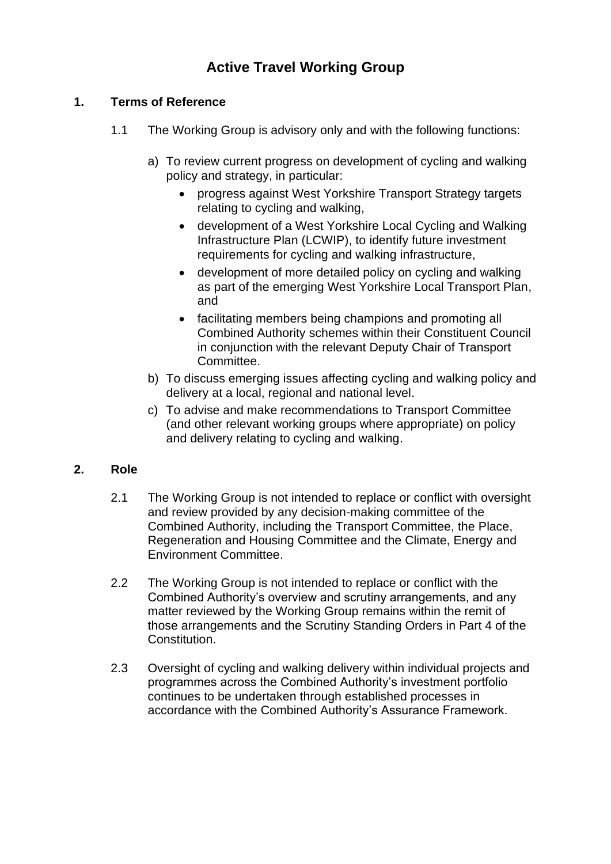# **Active Travel Working Group**

### **1. Terms of Reference**

- 1.1 The Working Group is advisory only and with the following functions:
	- a) To review current progress on development of cycling and walking policy and strategy, in particular:
		- progress against West Yorkshire Transport Strategy targets relating to cycling and walking,
		- development of a West Yorkshire Local Cycling and Walking Infrastructure Plan (LCWIP), to identify future investment requirements for cycling and walking infrastructure,
		- development of more detailed policy on cycling and walking as part of the emerging West Yorkshire Local Transport Plan, and
		- facilitating members being champions and promoting all Combined Authority schemes within their Constituent Council in conjunction with the relevant Deputy Chair of Transport Committee.
	- b) To discuss emerging issues affecting cycling and walking policy and delivery at a local, regional and national level.
	- c) To advise and make recommendations to Transport Committee (and other relevant working groups where appropriate) on policy and delivery relating to cycling and walking.

#### **2. Role**

- 2.1 The Working Group is not intended to replace or conflict with oversight and review provided by any decision-making committee of the Combined Authority, including the Transport Committee, the Place, Regeneration and Housing Committee and the Climate, Energy and Environment Committee.
- 2.2 The Working Group is not intended to replace or conflict with the Combined Authority's overview and scrutiny arrangements, and any matter reviewed by the Working Group remains within the remit of those arrangements and the Scrutiny Standing Orders in Part 4 of the Constitution.
- 2.3 Oversight of cycling and walking delivery within individual projects and programmes across the Combined Authority's investment portfolio continues to be undertaken through established processes in accordance with the Combined Authority's Assurance Framework.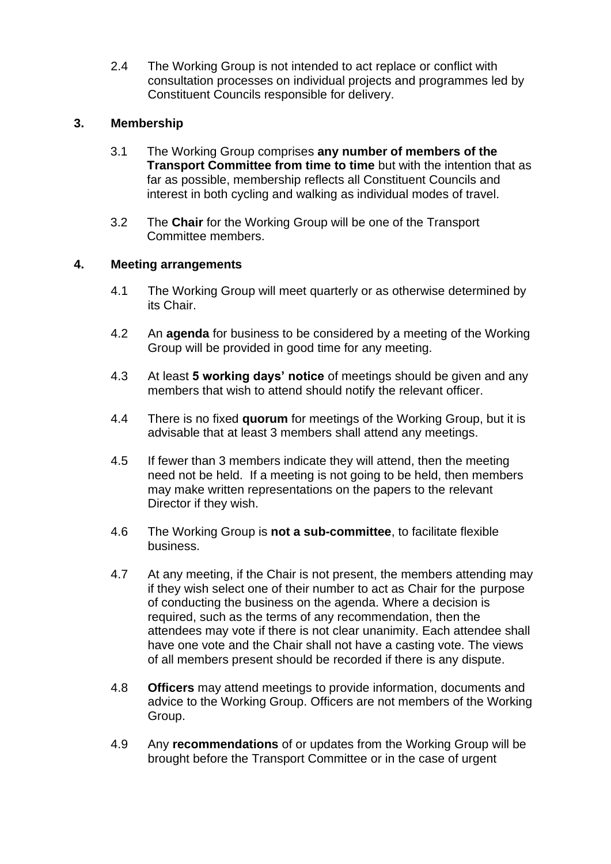2.4 The Working Group is not intended to act replace or conflict with consultation processes on individual projects and programmes led by Constituent Councils responsible for delivery.

# **3. Membership**

- 3.1 The Working Group comprises **any number of members of the Transport Committee from time to time** but with the intention that as far as possible, membership reflects all Constituent Councils and interest in both cycling and walking as individual modes of travel.
- 3.2 The **Chair** for the Working Group will be one of the Transport Committee members.

#### **4. Meeting arrangements**

- 4.1 The Working Group will meet quarterly or as otherwise determined by its Chair.
- 4.2 An **agenda** for business to be considered by a meeting of the Working Group will be provided in good time for any meeting.
- 4.3 At least **5 working days' notice** of meetings should be given and any members that wish to attend should notify the relevant officer.
- 4.4 There is no fixed **quorum** for meetings of the Working Group, but it is advisable that at least 3 members shall attend any meetings.
- 4.5 If fewer than 3 members indicate they will attend, then the meeting need not be held. If a meeting is not going to be held, then members may make written representations on the papers to the relevant Director if they wish.
- 4.6 The Working Group is **not a sub-committee**, to facilitate flexible business.
- 4.7 At any meeting, if the Chair is not present, the members attending may if they wish select one of their number to act as Chair for the purpose of conducting the business on the agenda. Where a decision is required, such as the terms of any recommendation, then the attendees may vote if there is not clear unanimity. Each attendee shall have one vote and the Chair shall not have a casting vote. The views of all members present should be recorded if there is any dispute.
- 4.8 **Officers** may attend meetings to provide information, documents and advice to the Working Group. Officers are not members of the Working Group.
- 4.9 Any **recommendations** of or updates from the Working Group will be brought before the Transport Committee or in the case of urgent